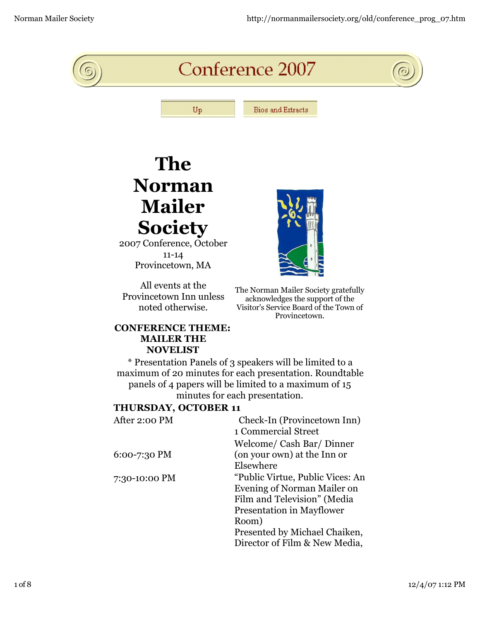

## **The Norman Mailer Society**

2007 Conference, October 11-14 Provincetown, MA

All events at the Provincetown Inn unless noted otherwise.

The Norman Mailer Society gratefully acknowledges the support of the Visitor's Service Board of the Town of Provincetown.

## **CONFERENCE THEME: MAILER THE NOVELIST**

\* Presentation Panels of 3 speakers will be limited to a maximum of 20 minutes for each presentation. Roundtable panels of 4 papers will be limited to a maximum of 15 minutes for each presentation.

## **THURSDAY, OCTOBER 11**

| After 2:00 PM  | Check-In (Provincetown Inn)      |
|----------------|----------------------------------|
|                | 1 Commercial Street              |
|                | Welcome/ Cash Bar/ Dinner        |
| $6:00-7:30$ PM | (on your own) at the Inn or      |
|                | Elsewhere                        |
| 7:30-10:00 PM  | "Public Virtue, Public Vices: An |
|                | Evening of Norman Mailer on      |
|                | Film and Television" (Media      |
|                | <b>Presentation in Mayflower</b> |
|                | Room)                            |
|                | Presented by Michael Chaiken,    |
|                | Director of Film & New Media,    |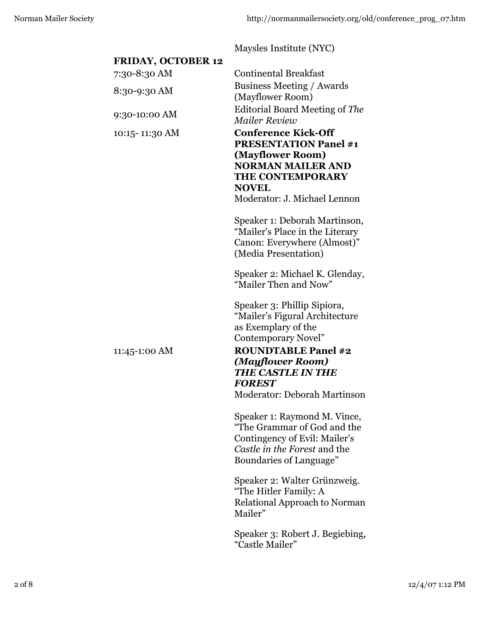Maysles Institute (NYC) **FRIDAY, OCTOBER 12**  7:30-8:30 AM Continental Breakfast 8:30-9:30 AM Business Meeting / Awards (Mayflower Room) 9:30-10:00 AM Editorial Board Meeting of *The Mailer Review* 10:15- 11:30 AM **Conference Kick-Off PRESENTATION Panel #1 (Mayflower Room) NORMAN MAILER AND THE CONTEMPORARY NOVEL** Moderator: J. Michael Lennon Speaker 1: Deborah Martinson, "Mailer's Place in the Literary Canon: Everywhere (Almost)" (Media Presentation) Speaker 2: Michael K. Glenday, "Mailer Then and Now" Speaker 3: Phillip Sipiora, "Mailer's Figural Architecture as Exemplary of the Contemporary Novel" 11:45-1:00 AM **ROUNDTABLE Panel #2**  *(Mayflower Room) THE CASTLE IN THE FOREST* Moderator: Deborah Martinson Speaker 1: Raymond M. Vince, "The Grammar of God and the Contingency of Evil: Mailer's *Castle in the Forest* and the Boundaries of Language" Speaker 2: Walter Grünzweig. "The Hitler Family: A Relational Approach to Norman Mailer" Speaker 3: Robert J. Begiebing, "Castle Mailer"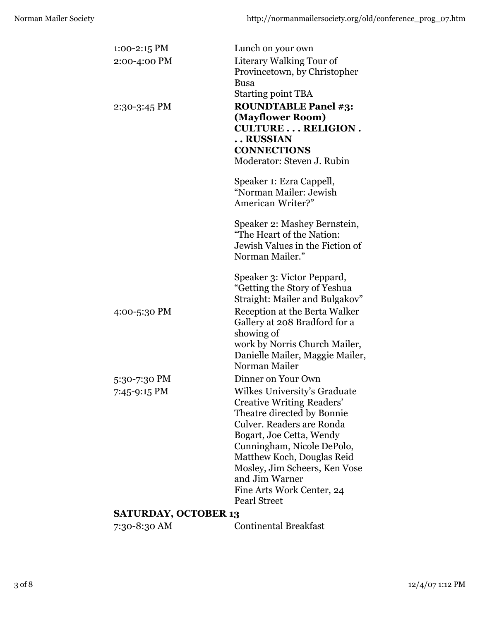| $1:00-2:15$ PM              | Lunch on your own                                        |
|-----------------------------|----------------------------------------------------------|
| 2:00-4:00 PM                | Literary Walking Tour of                                 |
|                             | Provincetown, by Christopher                             |
|                             | <b>Busa</b>                                              |
|                             | <b>Starting point TBA</b>                                |
| $2:30-3:45$ PM              | <b>ROUNDTABLE Panel #3:</b>                              |
|                             | (Mayflower Room)                                         |
|                             | <b>CULTURE RELIGION.</b>                                 |
|                             | RUSSIAN                                                  |
|                             | <b>CONNECTIONS</b>                                       |
|                             | Moderator: Steven J. Rubin                               |
|                             | Speaker 1: Ezra Cappell,                                 |
|                             | "Norman Mailer: Jewish                                   |
|                             | American Writer?"                                        |
|                             | Speaker 2: Mashey Bernstein,                             |
|                             | "The Heart of the Nation:                                |
|                             | Jewish Values in the Fiction of                          |
|                             | Norman Mailer."                                          |
|                             | Speaker 3: Victor Peppard,                               |
|                             | "Getting the Story of Yeshua                             |
|                             | Straight: Mailer and Bulgakov"                           |
| 4:00-5:30 PM                | Reception at the Berta Walker                            |
|                             | Gallery at 208 Bradford for a                            |
|                             | showing of                                               |
|                             | work by Norris Church Mailer,                            |
|                             | Danielle Mailer, Maggie Mailer,                          |
|                             | Norman Mailer                                            |
| 5:30-7:30 PM                | Dinner on Your Own                                       |
| 7:45-9:15 PM                | Wilkes University's Graduate                             |
|                             | <b>Creative Writing Readers'</b>                         |
|                             | Theatre directed by Bonnie                               |
|                             | Culver. Readers are Ronda                                |
|                             | Bogart, Joe Cetta, Wendy                                 |
|                             | Cunningham, Nicole DePolo,<br>Matthew Koch, Douglas Reid |
|                             | Mosley, Jim Scheers, Ken Vose                            |
|                             | and Jim Warner                                           |
|                             | Fine Arts Work Center, 24                                |
|                             | <b>Pearl Street</b>                                      |
| <b>SATURDAY, OCTOBER 13</b> |                                                          |

7:30-8:30 AM Continental Breakfast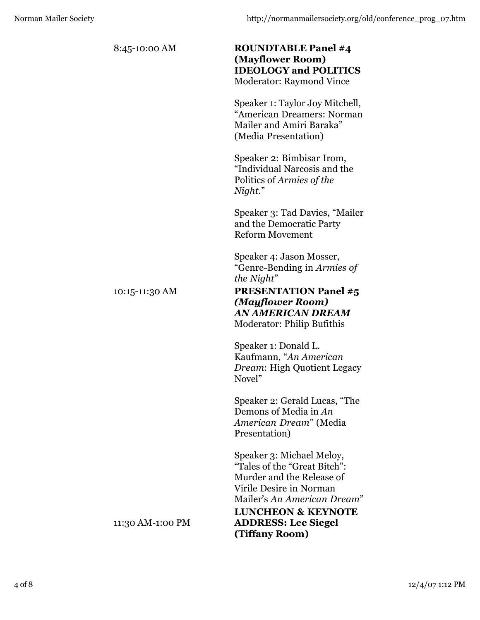| 8:45-10:00 AM    | <b>ROUNDTABLE Panel #4</b><br>(Mayflower Room)<br><b>IDEOLOGY and POLITICS</b><br><b>Moderator: Raymond Vince</b> |
|------------------|-------------------------------------------------------------------------------------------------------------------|
|                  | Speaker 1: Taylor Joy Mitchell,<br>"American Dreamers: Norman<br>Mailer and Amiri Baraka"<br>(Media Presentation) |
|                  | Speaker 2: Bimbisar Irom,<br>"Individual Narcosis and the<br>Politics of Armies of the<br>Night."                 |
|                  | Speaker 3: Tad Davies, "Mailer<br>and the Democratic Party<br><b>Reform Movement</b>                              |
|                  | Speaker 4: Jason Mosser,<br>"Genre-Bending in Armies of<br>the Night"                                             |
| 10:15-11:30 AM   | <b>PRESENTATION Panel #5</b><br>(Mayflower Room)<br>AN AMERICAN DREAM<br>Moderator: Philip Bufithis               |
|                  | Speaker 1: Donald L.<br>Kaufmann, "An American<br>Dream: High Quotient Legacy<br>Novel"                           |
|                  | Speaker 2: Gerald Lucas, "The<br>Demons of Media in An<br>American Dream" (Media<br>Presentation)                 |
|                  | Speaker 3: Michael Meloy,<br>"Tales of the "Great Bitch":<br>Murder and the Release of<br>Virile Desire in Norman |
| 11:30 AM-1:00 PM | Mailer's An American Dream"<br><b>LUNCHEON &amp; KEYNOTE</b><br><b>ADDRESS: Lee Siegel</b><br>(Tiffany Room)      |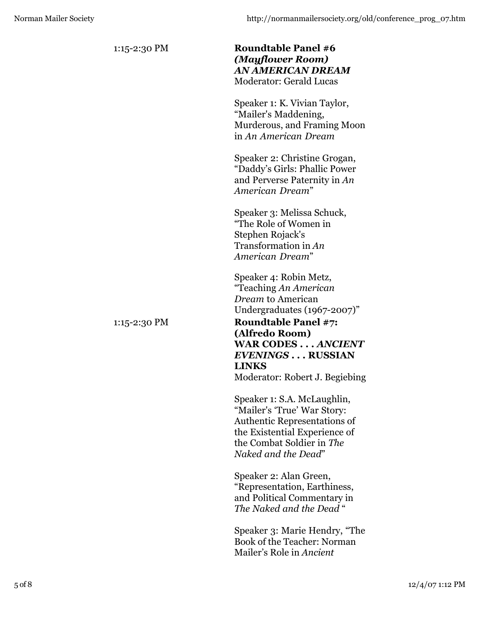| 1:15-2:30 PM | <b>Roundtable Panel #6</b><br>(Mayflower Room)<br>AN AMERICAN DREAM<br><b>Moderator: Gerald Lucas</b>                                                                                  |
|--------------|----------------------------------------------------------------------------------------------------------------------------------------------------------------------------------------|
|              | Speaker 1: K. Vivian Taylor,<br>"Mailer's Maddening,<br>Murderous, and Framing Moon<br>in An American Dream                                                                            |
|              | Speaker 2: Christine Grogan,<br>"Daddy's Girls: Phallic Power<br>and Perverse Paternity in An<br>American Dream"                                                                       |
|              | Speaker 3: Melissa Schuck,<br>"The Role of Women in<br>Stephen Rojack's<br>Transformation in An<br>American Dream"                                                                     |
|              | Speaker 4: Robin Metz,<br>"Teaching An American<br><i>Dream</i> to American<br>Undergraduates (1967-2007)"                                                                             |
| 1:15-2:30 PM | <b>Roundtable Panel #7:</b><br>(Alfredo Room)<br><b>WAR CODES ANCIENT</b><br><b>EVENINGS RUSSIAN</b><br><b>LINKS</b><br>Moderator: Robert J. Begiebing                                 |
|              | Speaker 1: S.A. McLaughlin,<br>"Mailer's 'True' War Story:<br><b>Authentic Representations of</b><br>the Existential Experience of<br>the Combat Soldier in The<br>Naked and the Dead" |
|              | Speaker 2: Alan Green,<br>"Representation, Earthiness,<br>and Political Commentary in<br>The Naked and the Dead "                                                                      |
|              | Speaker 3: Marie Hendry, "The<br>Book of the Teacher: Norman<br>Mailer's Role in Ancient                                                                                               |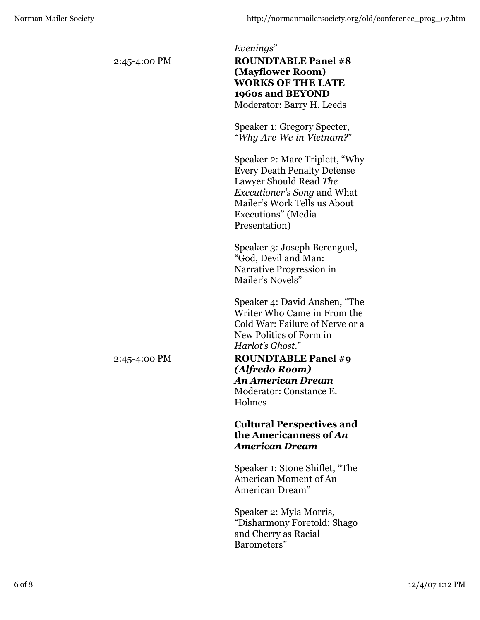| 2:45-4:00 PM | Evenings"<br><b>ROUNDTABLE Panel #8</b><br>(Mayflower Room)<br><b>WORKS OF THE LATE</b><br>1960s and BEYOND<br>Moderator: Barry H. Leeds                                                                    |
|--------------|-------------------------------------------------------------------------------------------------------------------------------------------------------------------------------------------------------------|
|              | Speaker 1: Gregory Specter,<br>"Why Are We in Vietnam?"                                                                                                                                                     |
|              | Speaker 2: Marc Triplett, "Why<br><b>Every Death Penalty Defense</b><br>Lawyer Should Read The<br><i>Executioner's Song and What</i><br>Mailer's Work Tells us About<br>Executions" (Media<br>Presentation) |
|              | Speaker 3: Joseph Berenguel,<br>"God, Devil and Man:<br>Narrative Progression in<br>Mailer's Novels"                                                                                                        |
|              | Speaker 4: David Anshen, "The<br>Writer Who Came in From the<br>Cold War: Failure of Nerve or a<br>New Politics of Form in<br>Harlot's Ghost."                                                              |
| 2:45-4:00 PM | <b>ROUNDTABLE Panel #9</b><br>(Alfredo Room)<br><b>An American Dream</b><br>Moderator: Constance E.<br>Holmes                                                                                               |
|              | <b>Cultural Perspectives and</b><br>the Americanness of An<br><b>American Dream</b>                                                                                                                         |
|              | Speaker 1: Stone Shiflet, "The<br><b>American Moment of An</b><br>American Dream"                                                                                                                           |
|              | Speaker 2: Myla Morris,<br>"Disharmony Foretold: Shago<br>and Cherry as Racial                                                                                                                              |

Barometers"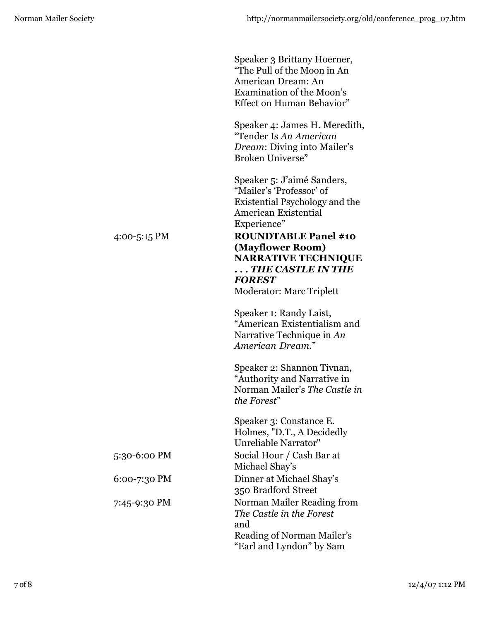|              | Speaker 3 Brittany Hoerner,<br>"The Pull of the Moon in An<br>American Dream: An<br><b>Examination of the Moon's</b><br>Effect on Human Behavior"               |
|--------------|-----------------------------------------------------------------------------------------------------------------------------------------------------------------|
|              | Speaker 4: James H. Meredith,<br>"Tender Is An American<br><i>Dream: Diving into Mailer's</i><br>Broken Universe"                                               |
|              | Speaker 5: J'aimé Sanders,<br>"Mailer's 'Professor' of<br>Existential Psychology and the<br>American Existential<br>Experience"                                 |
| 4:00-5:15 PM | <b>ROUNDTABLE Panel #10</b><br>(Mayflower Room)<br><b>NARRATIVE TECHNIQUE</b><br>$\ldots$ THE CASTLE IN THE<br><b>FOREST</b><br><b>Moderator: Marc Triplett</b> |
|              | Speaker 1: Randy Laist,<br>"American Existentialism and<br>Narrative Technique in An<br>American Dream."                                                        |
|              | Speaker 2: Shannon Tivnan,<br>"Authority and Narrative in<br>Norman Mailer's The Castle in<br>the Forest"                                                       |
|              | Speaker 3: Constance E.<br>Holmes, "D.T., A Decidedly<br>Unreliable Narrator"                                                                                   |
| 5:30-6:00 PM | Social Hour / Cash Bar at<br>Michael Shay's                                                                                                                     |
| 6:00-7:30 PM | Dinner at Michael Shay's<br>350 Bradford Street                                                                                                                 |
| 7:45-9:30 PM | Norman Mailer Reading from<br>The Castle in the Forest<br>and<br>Reading of Norman Mailer's<br>"Earl and Lyndon" by Sam                                         |